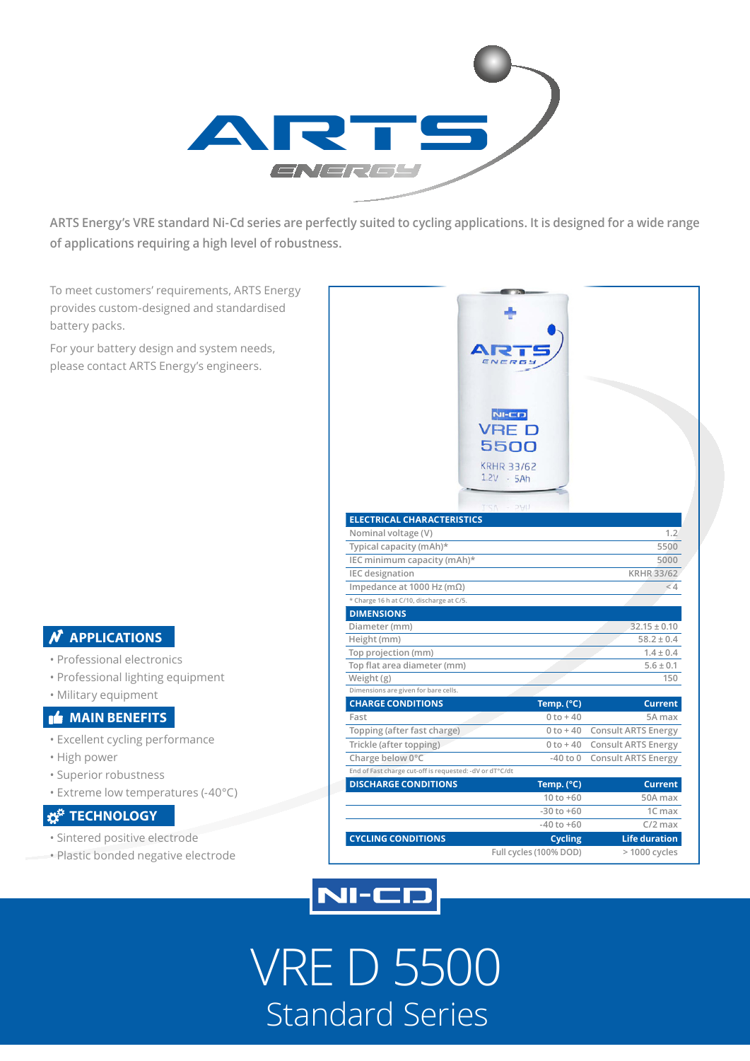

**ARTS Energy's VRE standard Ni-Cd series are perfectly suited to cycling applications. It is designed for a wide range of applications requiring a high level of robustness.**

To meet customers' requirements, ARTS Energy provides custom-designed and standardised battery packs.

For your battery design and system needs, please contact ARTS Energy's engineers.

### **APPLICATIONS**

- Professional electronics
- Professional lighting equipment
- Military equipment

#### **MAIN BENEFITS**

- Excellent cycling performance
- High power
- Superior robustness
- Extreme low temperatures (-40°C)

### **TECHNOLOGY**

- Sintered positive electrode
- Plastic bonded negative electrode

|                                                          | <b>NI-CD</b><br>VRE<br>5500<br><b>KRHR 33/62</b><br>$1.2V - 5Ah$<br>UHS<br>N |                            |
|----------------------------------------------------------|------------------------------------------------------------------------------|----------------------------|
| <b>ELECTRICAL CHARACTERISTICS</b>                        |                                                                              |                            |
| Nominal voltage (V)                                      |                                                                              | 1.2                        |
| Typical capacity (mAh)*                                  |                                                                              | 5500                       |
| IEC minimum capacity (mAh)*                              |                                                                              | 5000                       |
| <b>IEC</b> designation                                   |                                                                              | <b>KRHR 33/62</b>          |
| Impedance at 1000 Hz (m $\Omega$ )                       |                                                                              | < 4                        |
| * Charge 16 h at C/10, discharge at C/5.                 |                                                                              |                            |
| <b>DIMENSIONS</b>                                        |                                                                              |                            |
| Diameter (mm)                                            |                                                                              | $32.15 \pm 0.10$           |
| Height (mm)                                              |                                                                              | $58.2 \pm 0.4$             |
| Top projection (mm)                                      |                                                                              | $1.4 \pm 0.4$              |
| Top flat area diameter (mm)                              |                                                                              | $5.6 \pm 0.1$              |
| Weight (g)                                               |                                                                              | 150                        |
| Dimensions are given for bare cells.                     |                                                                              |                            |
| <b>CHARGE CONDITIONS</b><br>Fast                         | Temp. (°C)<br>$0 to + 40$                                                    | <b>Current</b><br>5A max   |
| Topping (after fast charge)                              | $0 to + 40$                                                                  | <b>Consult ARTS Energy</b> |
| Trickle (after topping)                                  | $0$ to $+40$                                                                 | <b>Consult ARTS Energy</b> |
| Charge below 0°C                                         | $-40$ to $0$                                                                 | <b>Consult ARTS Energy</b> |
| End of Fast charge cut-off is requested: - dV or dT°C/dt |                                                                              |                            |
| <b>DISCHARGE CONDITIONS</b>                              | Temp. (°C)                                                                   | <b>Current</b>             |
|                                                          | $10 to +60$                                                                  | 50A max                    |
|                                                          | $-30$ to $+60$                                                               | 1C max                     |
|                                                          | $-40$ to $+60$                                                               | $C/2$ max                  |
| <b>CYCLING CONDITIONS</b>                                | <b>Cycling</b>                                                               | <b>Life duration</b>       |
|                                                          | Full cycles (100% DOD)                                                       | > 1000 cycles              |



## VRE D 5500 Standard Series